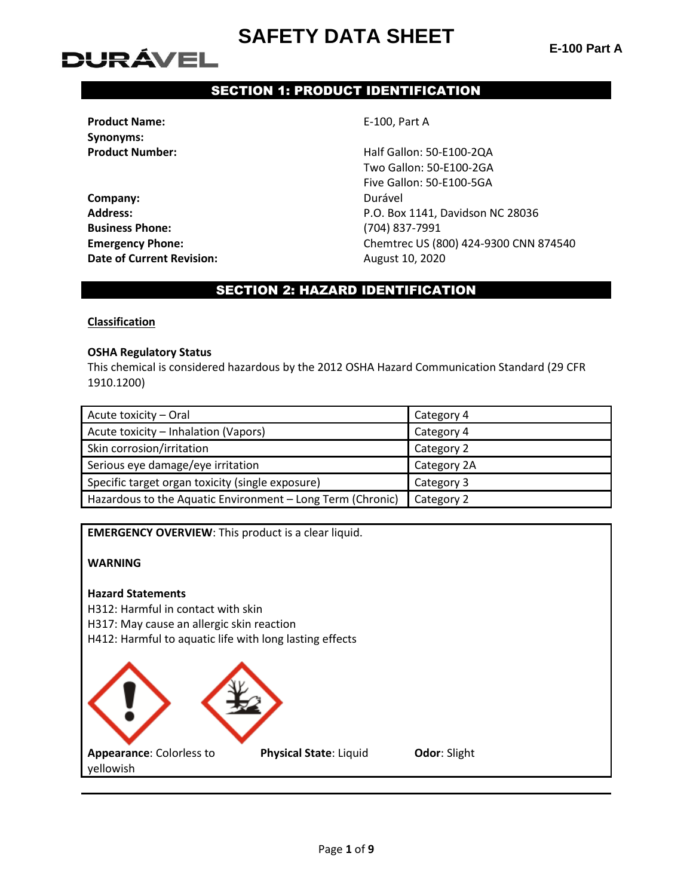**E-100 Part A**

# **DURÁVEL**

# SECTION 1: PRODUCT IDENTIFICATION

**Product Name:** E-100, Part A **Synonyms:**

**Company:** Durável **Business Phone:** (704) 837-7991 **Date of Current Revision:** August 10, 2020

**Product Number:** Half Gallon: 50-E100-2QA Two Gallon: 50-E100-2GA Five Gallon: 50-E100-5GA **Address:** P.O. Box 1141, Davidson NC 28036 **Emergency Phone:** Chemtrec US (800) 424-9300 CNN 874540

# SECTION 2: HAZARD IDENTIFICATION

**Classification**

#### **OSHA Regulatory Status**

This chemical is considered hazardous by the 2012 OSHA Hazard Communication Standard (29 CFR 1910.1200)

| Acute toxicity - Oral                                      | Category 4  |
|------------------------------------------------------------|-------------|
| Acute toxicity - Inhalation (Vapors)                       | Category 4  |
| Skin corrosion/irritation                                  | Category 2  |
| Serious eye damage/eye irritation                          | Category 2A |
| Specific target organ toxicity (single exposure)           | Category 3  |
| Hazardous to the Aquatic Environment - Long Term (Chronic) | Category 2  |

**EMERGENCY OVERVIEW**: This product is a clear liquid.

### **WARNING**

#### **Hazard Statements**

- H312: Harmful in contact with skin
- H317: May cause an allergic skin reaction

H412: Harmful to aquatic life with long lasting effects

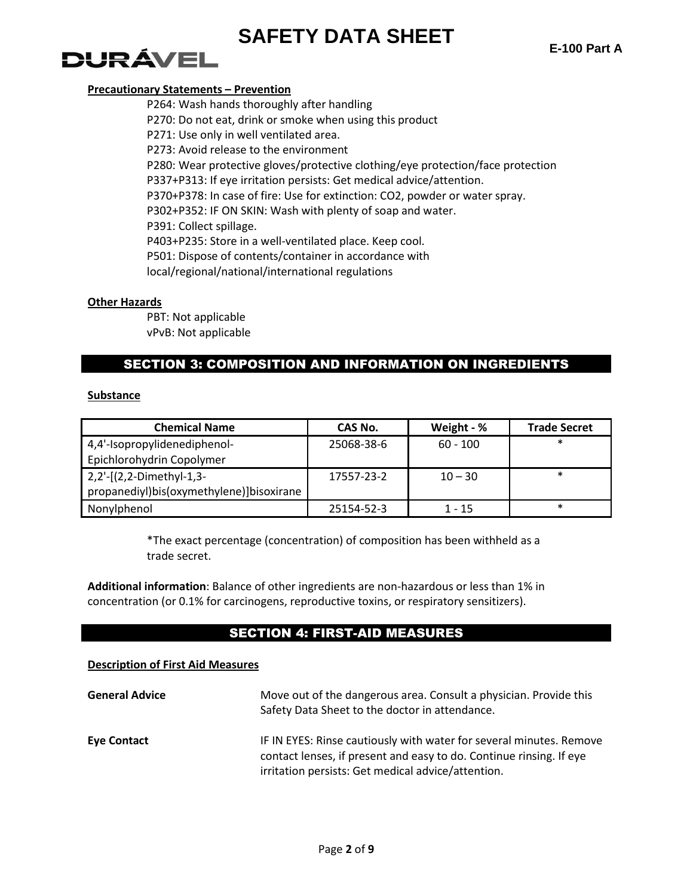# DURÁVEL

### **Precautionary Statements – Prevention**

P264: Wash hands thoroughly after handling P270: Do not eat, drink or smoke when using this product P271: Use only in well ventilated area. P273: Avoid release to the environment P280: Wear protective gloves/protective clothing/eye protection/face protection P337+P313: If eye irritation persists: Get medical advice/attention. P370+P378: In case of fire: Use for extinction: CO2, powder or water spray. P302+P352: IF ON SKIN: Wash with plenty of soap and water. P391: Collect spillage. P403+P235: Store in a well-ventilated place. Keep cool. P501: Dispose of contents/container in accordance with local/regional/national/international regulations

### **Other Hazards**

PBT: Not applicable vPvB: Not applicable

# SECTION 3: COMPOSITION AND INFORMATION ON INGREDIENTS

### **Substance**

| <b>Chemical Name</b>                     | CAS No.    | Weight - % | <b>Trade Secret</b> |
|------------------------------------------|------------|------------|---------------------|
| 4,4'-Isopropylidenediphenol-             | 25068-38-6 | $60 - 100$ | $\ast$              |
| Epichlorohydrin Copolymer                |            |            |                     |
| 2,2'-[(2,2-Dimethyl-1,3-                 | 17557-23-2 | $10 - 30$  | $\ast$              |
| propanediyl)bis(oxymethylene)]bisoxirane |            |            |                     |
| Nonylphenol                              | 25154-52-3 | 1 - 15     | $\ast$              |

\*The exact percentage (concentration) of composition has been withheld as a trade secret.

**Additional information**: Balance of other ingredients are non-hazardous or less than 1% in concentration (or 0.1% for carcinogens, reproductive toxins, or respiratory sensitizers).

# SECTION 4: FIRST-AID MEASURES

### **Description of First Aid Measures**

| <b>General Advice</b> | Move out of the dangerous area. Consult a physician. Provide this<br>Safety Data Sheet to the doctor in attendance.                                                                              |
|-----------------------|--------------------------------------------------------------------------------------------------------------------------------------------------------------------------------------------------|
| <b>Eye Contact</b>    | IF IN EYES: Rinse cautiously with water for several minutes. Remove<br>contact lenses, if present and easy to do. Continue rinsing. If eye<br>irritation persists: Get medical advice/attention. |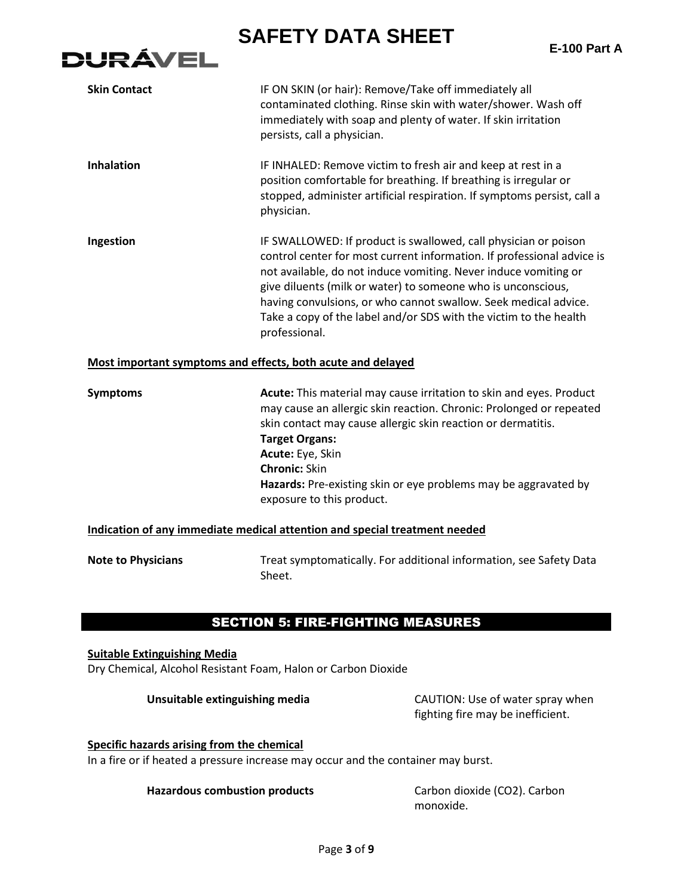**E-100 Part A**

| <b>Skin Contact</b>                                                                                  | IF ON SKIN (or hair): Remove/Take off immediately all<br>contaminated clothing. Rinse skin with water/shower. Wash off<br>immediately with soap and plenty of water. If skin irritation<br>persists, call a physician.                                                                                                                                                                                                                |  |  |
|------------------------------------------------------------------------------------------------------|---------------------------------------------------------------------------------------------------------------------------------------------------------------------------------------------------------------------------------------------------------------------------------------------------------------------------------------------------------------------------------------------------------------------------------------|--|--|
| <b>Inhalation</b>                                                                                    | IF INHALED: Remove victim to fresh air and keep at rest in a<br>position comfortable for breathing. If breathing is irregular or<br>stopped, administer artificial respiration. If symptoms persist, call a<br>physician.                                                                                                                                                                                                             |  |  |
| Ingestion                                                                                            | IF SWALLOWED: If product is swallowed, call physician or poison<br>control center for most current information. If professional advice is<br>not available, do not induce vomiting. Never induce vomiting or<br>give diluents (milk or water) to someone who is unconscious,<br>having convulsions, or who cannot swallow. Seek medical advice.<br>Take a copy of the label and/or SDS with the victim to the health<br>professional. |  |  |
| Most important symptoms and effects, both acute and delayed                                          |                                                                                                                                                                                                                                                                                                                                                                                                                                       |  |  |
| <b>Symptoms</b>                                                                                      | Acute: This material may cause irritation to skin and eyes. Product<br>may cause an allergic skin reaction. Chronic: Prolonged or repeated<br>skin contact may cause allergic skin reaction or dermatitis.<br><b>Target Organs:</b><br>Acute: Eye, Skin<br><b>Chronic: Skin</b><br>Hazards: Pre-existing skin or eye problems may be aggravated by<br>exposure to this product.                                                       |  |  |
| Indication of any immediate medical attention and special treatment needed                           |                                                                                                                                                                                                                                                                                                                                                                                                                                       |  |  |
| <b>Note to Physicians</b>                                                                            | Treat symptomatically. For additional information, see Safety Data<br>Sheet.                                                                                                                                                                                                                                                                                                                                                          |  |  |
|                                                                                                      | <b>SECTION 5: FIRE-FIGHTING MEASURES</b>                                                                                                                                                                                                                                                                                                                                                                                              |  |  |
| <b>Suitable Extinguishing Media</b><br>Dry Chemical, Alcohol Resistant Foam, Halon or Carbon Dioxide |                                                                                                                                                                                                                                                                                                                                                                                                                                       |  |  |
| Unsuitable extinguishing media                                                                       | CAUTION: Use of water spray when<br>fighting fire may be inefficient.                                                                                                                                                                                                                                                                                                                                                                 |  |  |

# **Specific hazards arising from the chemical**

**DURÁVEL** 

In a fire or if heated a pressure increase may occur and the container may burst.

### Hazardous combustion products Carbon dioxide (CO2). Carbon

monoxide.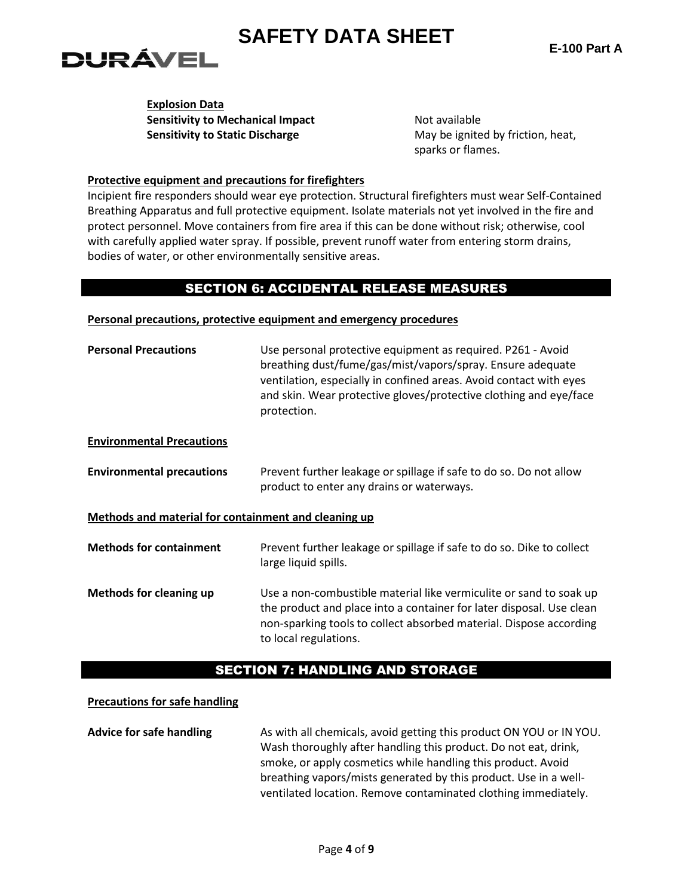# DURÁVEL

**Explosion Data Sensitivity to Mechanical Impact Not available Sensitivity to Static Discharge May be ignited by friction, heat, heat, heat, heat, heat, heat, heat, heat, heat, heat, heat, heat, heat, heat, heat, heat, heat, heat, heat, heat, heat, heat, heat, heat, heat, heat, heat,** 

sparks or flames.

### **Protective equipment and precautions for firefighters**

Incipient fire responders should wear eye protection. Structural firefighters must wear Self-Contained Breathing Apparatus and full protective equipment. Isolate materials not yet involved in the fire and protect personnel. Move containers from fire area if this can be done without risk; otherwise, cool with carefully applied water spray. If possible, prevent runoff water from entering storm drains, bodies of water, or other environmentally sensitive areas.

# SECTION 6: ACCIDENTAL RELEASE MEASURES

| Personal precautions, protective equipment and emergency procedures |  |  |  |  |
|---------------------------------------------------------------------|--|--|--|--|
|---------------------------------------------------------------------|--|--|--|--|

| <b>Personal Precautions</b>                          | Use personal protective equipment as required. P261 - Avoid<br>breathing dust/fume/gas/mist/vapors/spray. Ensure adequate<br>ventilation, especially in confined areas. Avoid contact with eyes<br>and skin. Wear protective gloves/protective clothing and eye/face<br>protection. |  |  |  |
|------------------------------------------------------|-------------------------------------------------------------------------------------------------------------------------------------------------------------------------------------------------------------------------------------------------------------------------------------|--|--|--|
| <b>Environmental Precautions</b>                     |                                                                                                                                                                                                                                                                                     |  |  |  |
| <b>Environmental precautions</b>                     | Prevent further leakage or spillage if safe to do so. Do not allow<br>product to enter any drains or waterways.                                                                                                                                                                     |  |  |  |
| Methods and material for containment and cleaning up |                                                                                                                                                                                                                                                                                     |  |  |  |
| <b>Methods for containment</b>                       | Prevent further leakage or spillage if safe to do so. Dike to collect<br>large liquid spills.                                                                                                                                                                                       |  |  |  |
| <b>Methods for cleaning up</b>                       | Use a non-combustible material like vermiculite or sand to soak up<br>the product and place into a container for later disposal. Use clean<br>non-sparking tools to collect absorbed material. Dispose according<br>to local regulations.                                           |  |  |  |

# SECTION 7: HANDLING AND STORAGE

### **Precautions for safe handling**

Advice for safe handling **As with all chemicals, avoid getting this product ON YOU or IN YOU.** Wash thoroughly after handling this product. Do not eat, drink, smoke, or apply cosmetics while handling this product. Avoid breathing vapors/mists generated by this product. Use in a wellventilated location. Remove contaminated clothing immediately.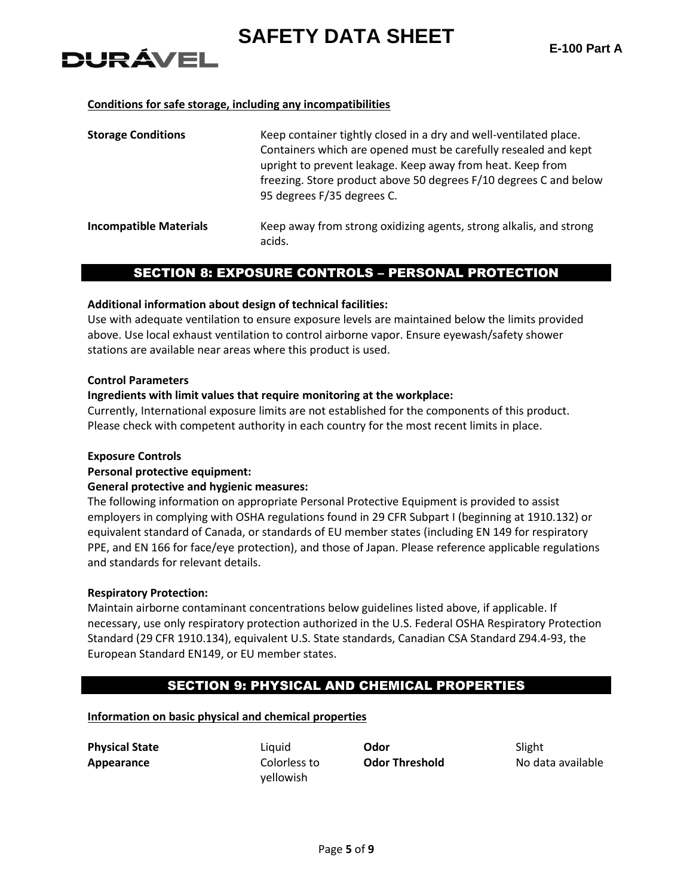#### **Conditions for safe storage, including any incompatibilities**

| <b>Storage Conditions</b>     | Keep container tightly closed in a dry and well-ventilated place.<br>Containers which are opened must be carefully resealed and kept<br>upright to prevent leakage. Keep away from heat. Keep from<br>freezing. Store product above 50 degrees F/10 degrees C and below<br>95 degrees F/35 degrees C. |
|-------------------------------|-------------------------------------------------------------------------------------------------------------------------------------------------------------------------------------------------------------------------------------------------------------------------------------------------------|
| <b>Incompatible Materials</b> | Keep away from strong oxidizing agents, strong alkalis, and strong<br>acids.                                                                                                                                                                                                                          |

### SECTION 8: EXPOSURE CONTROLS – PERSONAL PROTECTION

#### **Additional information about design of technical facilities:**

Use with adequate ventilation to ensure exposure levels are maintained below the limits provided above. Use local exhaust ventilation to control airborne vapor. Ensure eyewash/safety shower stations are available near areas where this product is used.

#### **Control Parameters**

**DURÁVEL** 

#### **Ingredients with limit values that require monitoring at the workplace:**

Currently, International exposure limits are not established for the components of this product. Please check with competent authority in each country for the most recent limits in place.

#### **Exposure Controls**

#### **Personal protective equipment:**

#### **General protective and hygienic measures:**

The following information on appropriate Personal Protective Equipment is provided to assist employers in complying with OSHA regulations found in 29 CFR Subpart I (beginning at 1910.132) or equivalent standard of Canada, or standards of EU member states (including EN 149 for respiratory PPE, and EN 166 for face/eye protection), and those of Japan. Please reference applicable regulations and standards for relevant details.

#### **Respiratory Protection:**

Maintain airborne contaminant concentrations below guidelines listed above, if applicable. If necessary, use only respiratory protection authorized in the U.S. Federal OSHA Respiratory Protection Standard (29 CFR 1910.134), equivalent U.S. State standards, Canadian CSA Standard Z94.4-93, the European Standard EN149, or EU member states.

# SECTION 9: PHYSICAL AND CHEMICAL PROPERTIES

#### **Information on basic physical and chemical properties**

**Appearance** Colorless to

yellowish

**Physical State** Liquid **Odor** Slight

**Odor Threshold** No data available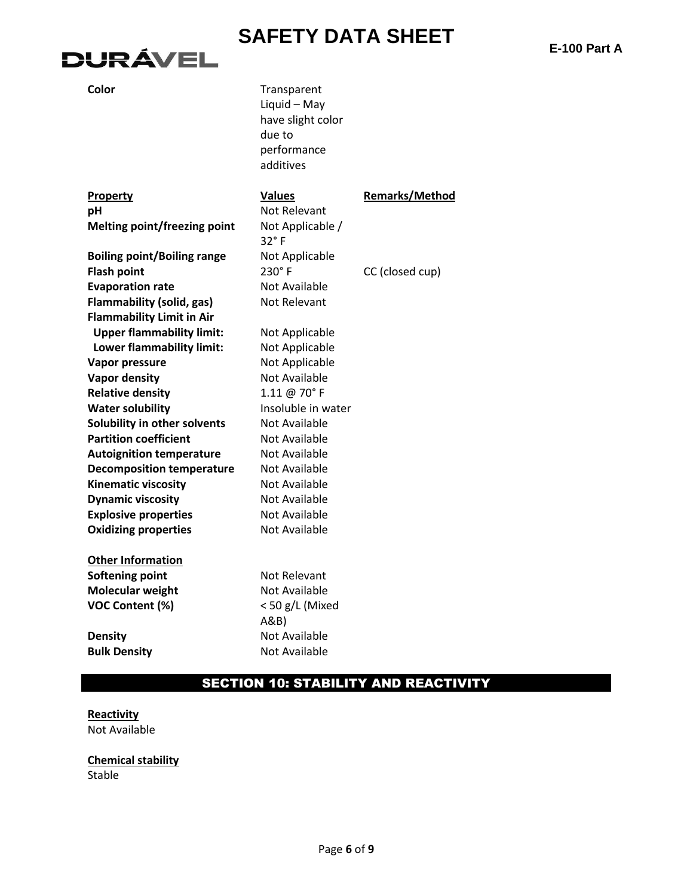# **DURÁVEL**

**Color** Transparent Liquid – May have slight color due to performance additives

| Property                            | <b>Values</b><br>Not Relevant | <b>Remarks/Method</b> |
|-------------------------------------|-------------------------------|-----------------------|
| рH                                  |                               |                       |
| <b>Melting point/freezing point</b> | Not Applicable /              |                       |
|                                     | $32^\circ$ F                  |                       |
| <b>Boiling point/Boiling range</b>  | Not Applicable                |                       |
| <b>Flash point</b>                  | 230°F                         | CC (closed cup)       |
| <b>Evaporation rate</b>             | Not Available                 |                       |
| <b>Flammability (solid, gas)</b>    | <b>Not Relevant</b>           |                       |
| <b>Flammability Limit in Air</b>    |                               |                       |
| <b>Upper flammability limit:</b>    | Not Applicable                |                       |
| Lower flammability limit:           | Not Applicable                |                       |
| Vapor pressure                      | Not Applicable                |                       |
| <b>Vapor density</b>                | <b>Not Available</b>          |                       |
| <b>Relative density</b>             | 1.11 @ 70°F                   |                       |
| <b>Water solubility</b>             | Insoluble in water            |                       |
| Solubility in other solvents        | <b>Not Available</b>          |                       |
| <b>Partition coefficient</b>        | <b>Not Available</b>          |                       |
| <b>Autoignition temperature</b>     | Not Available                 |                       |
| <b>Decomposition temperature</b>    | Not Available                 |                       |
| <b>Kinematic viscosity</b>          | Not Available                 |                       |
| <b>Dynamic viscosity</b>            | Not Available                 |                       |
| <b>Explosive properties</b>         | <b>Not Available</b>          |                       |
| <b>Oxidizing properties</b>         | <b>Not Available</b>          |                       |
|                                     |                               |                       |
| <b>Other Information</b>            |                               |                       |
| Softening point                     | Not Relevant                  |                       |
| Molecular weight                    | Not Available                 |                       |
| <b>VOC Content (%)</b>              | < 50 g/L (Mixed               |                       |
|                                     | A&B                           |                       |
| <b>Density</b>                      | Not Available                 |                       |
| <b>Bulk Density</b>                 | <b>Not Available</b>          |                       |
|                                     |                               |                       |

# SECTION 10: STABILITY AND REACTIVITY

#### **Reactivity** Not Available

**Chemical stability** Stable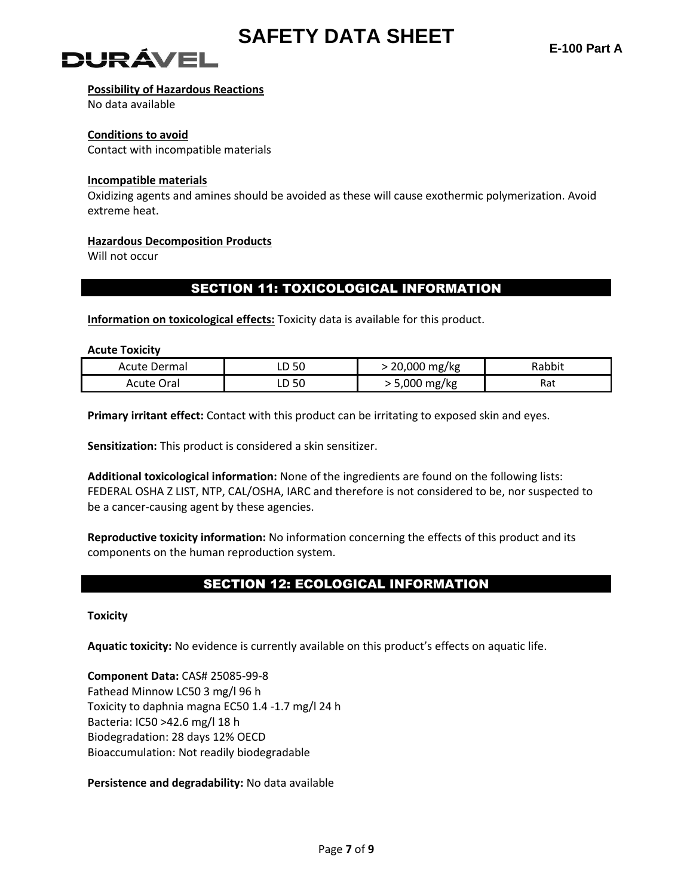

# )! IR ÁVEI

### **Possibility of Hazardous Reactions**

No data available

#### **Conditions to avoid**

Contact with incompatible materials

#### **Incompatible materials**

Oxidizing agents and amines should be avoided as these will cause exothermic polymerization. Avoid extreme heat.

### **Hazardous Decomposition Products**

Will not occur

# SECTION 11: TOXICOLOGICAL INFORMATION

**Information on toxicological effects:** Toxicity data is available for this product.

**Acute Toxicity**

| Acute Dermal | 50<br>ᄖ | 20,000<br>mg/kg | Rabbit |
|--------------|---------|-----------------|--------|
| Ora          | 50      | .000            | Rat    |
| Acute        | ᄖ       | mg/kg           |        |

**Primary irritant effect:** Contact with this product can be irritating to exposed skin and eyes.

**Sensitization:** This product is considered a skin sensitizer.

**Additional toxicological information:** None of the ingredients are found on the following lists: FEDERAL OSHA Z LIST, NTP, CAL/OSHA, IARC and therefore is not considered to be, nor suspected to be a cancer-causing agent by these agencies.

**Reproductive toxicity information:** No information concerning the effects of this product and its components on the human reproduction system.

# SECTION 12: ECOLOGICAL INFORMATION

**Toxicity**

**Aquatic toxicity:** No evidence is currently available on this product's effects on aquatic life.

**Component Data:** CAS# 25085-99-8 Fathead Minnow LC50 3 mg/l 96 h Toxicity to daphnia magna EC50 1.4 -1.7 mg/l 24 h Bacteria: IC50 >42.6 mg/l 18 h Biodegradation: 28 days 12% OECD Bioaccumulation: Not readily biodegradable

**Persistence and degradability:** No data available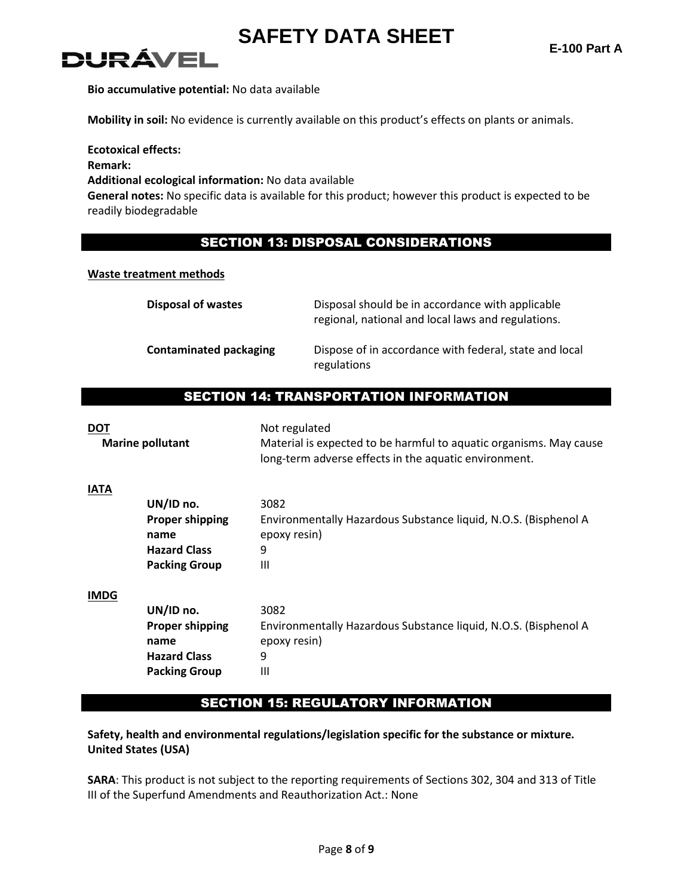

**Bio accumulative potential:** No data available

**Mobility in soil:** No evidence is currently available on this product's effects on plants or animals.

**Ecotoxical effects: Remark: Additional ecological information:** No data available **General notes:** No specific data is available for this product; however this product is expected to be readily biodegradable

# SECTION 13: DISPOSAL CONSIDERATIONS

### **Waste treatment methods**

| <b>Disposal of wastes</b>     | Disposal should be in accordance with applicable<br>regional, national and local laws and regulations. |
|-------------------------------|--------------------------------------------------------------------------------------------------------|
| <b>Contaminated packaging</b> | Dispose of in accordance with federal, state and local<br>regulations                                  |

### SECTION 14: TRANSPORTATION INFORMATION

| <b>DOT</b>  | <b>Marine pollutant</b>                                                                    | Not regulated<br>Material is expected to be harmful to aquatic organisms. May cause<br>long-term adverse effects in the aquatic environment. |
|-------------|--------------------------------------------------------------------------------------------|----------------------------------------------------------------------------------------------------------------------------------------------|
| <b>IATA</b> | UN/ID no.<br><b>Proper shipping</b><br>name<br><b>Hazard Class</b><br><b>Packing Group</b> | 3082<br>Environmentally Hazardous Substance liquid, N.O.S. (Bisphenol A<br>epoxy resin)<br>9<br>$\mathbf{III}$                               |
| <b>IMDG</b> | UN/ID no.<br><b>Proper shipping</b><br>name<br><b>Hazard Class</b><br><b>Packing Group</b> | 3082<br>Environmentally Hazardous Substance liquid, N.O.S. (Bisphenol A<br>epoxy resin)<br>9<br>Ш                                            |

# SECTION 15: REGULATORY INFORMATION

**Safety, health and environmental regulations/legislation specific for the substance or mixture. United States (USA)**

**SARA**: This product is not subject to the reporting requirements of Sections 302, 304 and 313 of Title III of the Superfund Amendments and Reauthorization Act.: None